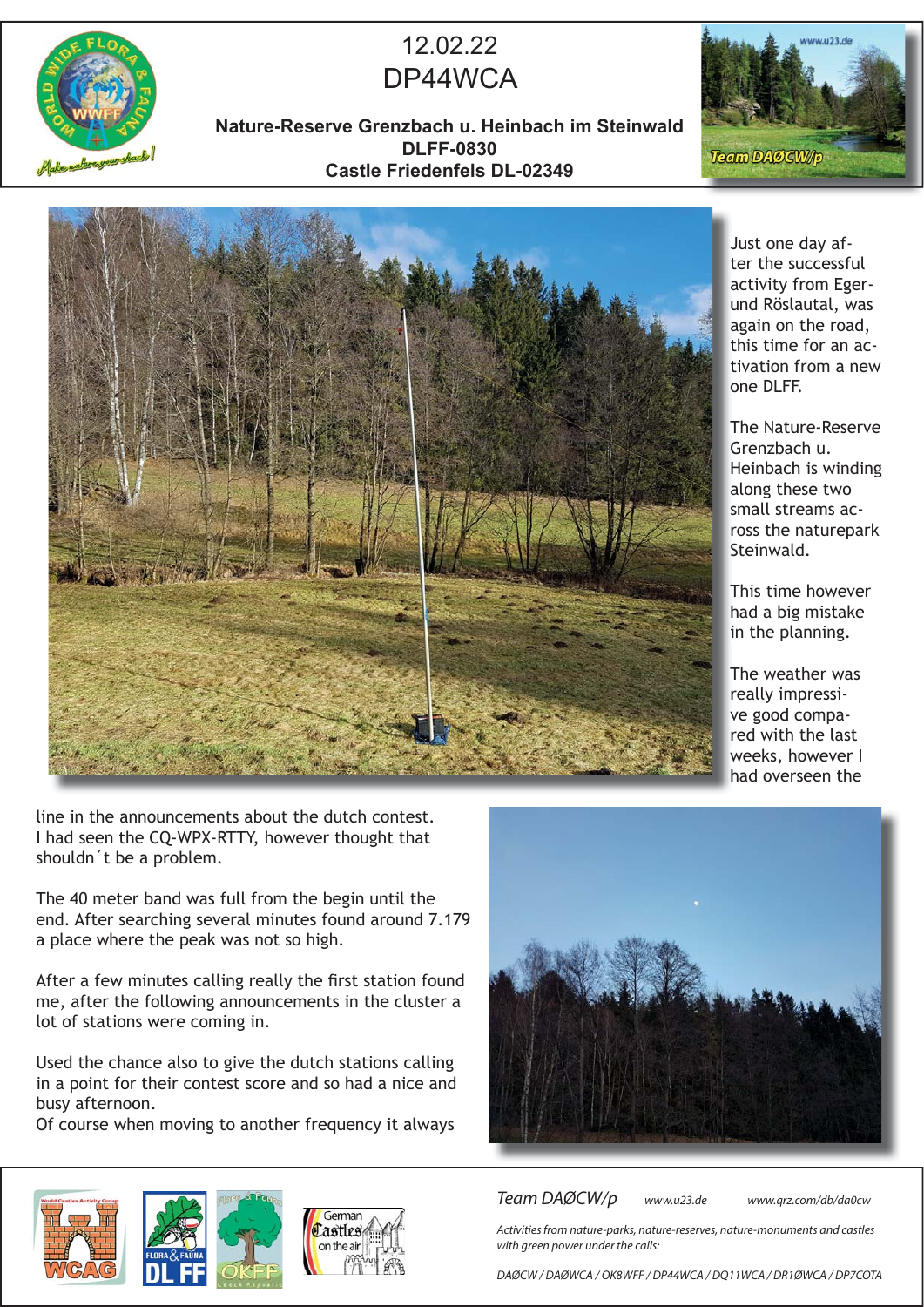

## 12.02.22 DP44WCA

**Nature-Reserve Grenzbach u. Heinbach im Steinwald DLFF-0830 Castle Friedenfels DL-02349**





line in the announcements about the dutch contest. I had seen the CQ-WPX-RTTY, however thought that shouldn´t be a problem.

The 40 meter band was full from the begin until the end. After searching several minutes found around 7.179 a place where the peak was not so high.

After a few minutes calling really the first station found me, after the following announcements in the cluster a lot of stations were coming in.

Used the chance also to give the dutch stations calling in a point for their contest score and so had a nice and busy afternoon.

Of course when moving to another frequency it always

German Lastles



Team DAØCW/p www.u23.de www.qrz.com/db/da0cw

Activities from nature-parks, nature-reserves, nature-monuments and castles with green power under the calls:

DAØCW / DAØWCA / OK8WFF / DP44WCA / DQ11WCA / DR1ØWCA / DP7COTA

Just one day af-J ter the successful activity from Eger-a und Röslautal, was u again on the road, a this time for an activation from a new t one DLFF. o

The Nature-Reserve T Grenzbach u. G Heinbach is winding H along these two a small streams ac-s ross the naturepark r Steinwald. S

This time however T had a big mistake h in the planning.

The weather was T really impressi-r ve good compa-v red with the last weeks, however I w had overseen the h